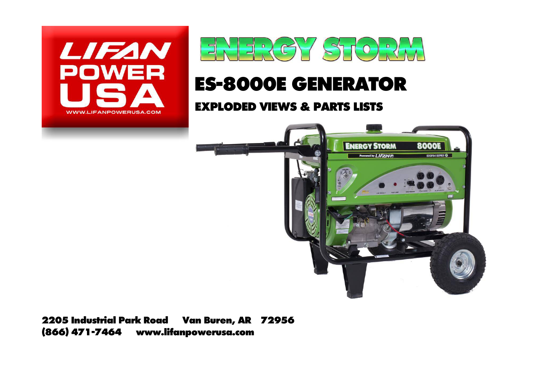



## **ES-8000E GENERATOR**

## **EXPLODED VIEWS & PARTS LISTS**



**2205 Industrial Park Road Van Buren, AR 72956 (866) 471-7464 www.lifanpowerusa.com**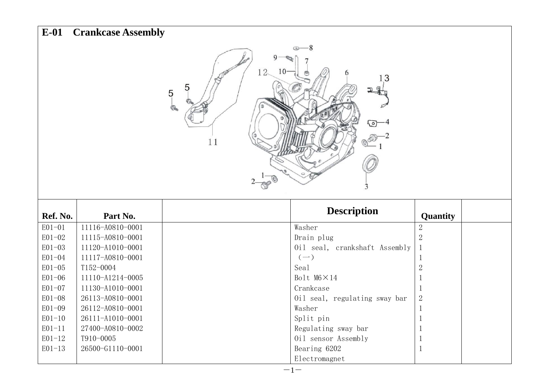| $E-01$     | <b>Crankcase Assembly</b>                                       |  |                               |                |  |  |
|------------|-----------------------------------------------------------------|--|-------------------------------|----------------|--|--|
|            | -8<br>$12-$<br>10<br>13<br>5<br>$\overline{5}$<br>൹<br>ιо<br>11 |  |                               |                |  |  |
| Ref. No.   | Part No.                                                        |  | <b>Description</b>            | Quantity       |  |  |
| $E01-01$   | 11116-A0810-0001                                                |  | Washer                        | $\sqrt{2}$     |  |  |
| $E01-02$   | 11115-A0810-0001                                                |  | Drain plug                    | $\overline{2}$ |  |  |
| $E01 - 03$ | 11120-A1010-0001                                                |  | Oil seal, crankshaft Assembly |                |  |  |
| E01-04     | 11117-A0810-0001                                                |  | $(-)$                         | 1              |  |  |
| $E01-05$   | T152-0004                                                       |  | Sea1                          | $\sqrt{2}$     |  |  |
| $E01-06$   | 11110-A1214-0005                                                |  | Bolt M6×14                    | 1              |  |  |
| $E01-07$   | 11130-A1010-0001                                                |  | Crankcase                     | $\mathbf 1$    |  |  |
| $E01-08$   | 26113-A0810-0001                                                |  | Oil seal, regulating sway bar | $\sqrt{2}$     |  |  |
| $E01-09$   | 26112-A0810-0001                                                |  | Washer                        | $\mathbf{1}$   |  |  |
| $E01-10$   | 26111-A1010-0001                                                |  | Split pin                     | 1              |  |  |
|            |                                                                 |  |                               |                |  |  |
| $E01-11$   | 27400-A0810-0002                                                |  | Regulating sway bar           | 1              |  |  |
| $E01-12$   | T910-0005                                                       |  | Oil sensor Assembly           | 1              |  |  |
| $E01-13$   | 26500-G1110-0001                                                |  | Bearing 6202<br>Electromagnet | 1              |  |  |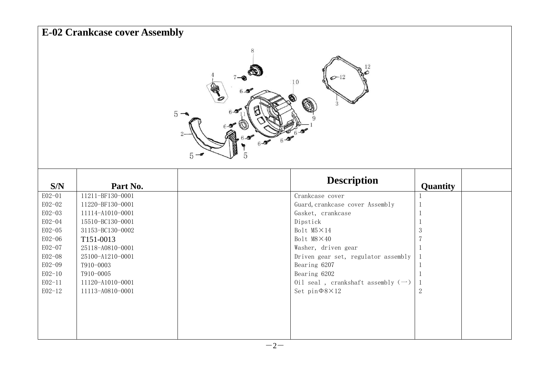|                  | <b>E-02 Crankcase cover Assembly</b> |                                     |                                                     |                |  |  |
|------------------|--------------------------------------|-------------------------------------|-----------------------------------------------------|----------------|--|--|
|                  |                                      | 8<br>$5 -$<br>$6 - 2$<br>$5 -$<br>5 | $\infty$ -12<br>10<br>3                             |                |  |  |
| S/N              | Part No.                             |                                     | <b>Description</b>                                  | Quantity       |  |  |
| E02-01           | 11211-BF130-0001                     |                                     | Crankcase cover                                     | 1              |  |  |
| E02-02           | 11220-BF130-0001                     |                                     | Guard, crankcase cover Assembly                     | $\mathbf 1$    |  |  |
| E02-03           | 11114-A1010-0001                     |                                     | Gasket, crankcase                                   | 1              |  |  |
| E02-04           | 15510-BC130-0001                     |                                     | Dipstick                                            | 1              |  |  |
| E02-05           | 31153-BC130-0002                     |                                     | Bolt $M5 \times 14$                                 | $\mathfrak{Z}$ |  |  |
| E02-06           | T151-0013                            |                                     | Bolt $M8 \times 40$                                 | $\overline{7}$ |  |  |
| E02-07<br>E02-08 | 25118-A0810-0001<br>25100-A1210-0001 |                                     | Washer, driven gear                                 | -1             |  |  |
| E02-09           | T910-0003                            |                                     | Driven gear set, regulator assembly<br>Bearing 6207 | 1              |  |  |
| $E02-10$         | T910-0005                            |                                     | Bearing 6202                                        | 1<br>-1        |  |  |
| $E02 - 11$       | 11120-A1010-0001                     |                                     | Oil seal, crankshaft assembly $(-)$                 | 1              |  |  |
| $E02 - 12$       | 11113-A0810-0001                     |                                     | Set $pin\Phi 8 \times 12$                           | $\sqrt{2}$     |  |  |
|                  |                                      |                                     |                                                     |                |  |  |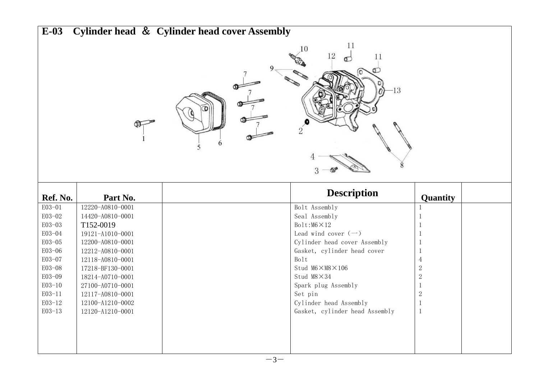| $E-03$           |                                      | Cylinder head & Cylinder head cover Assembly |                                    |                                  |  |
|------------------|--------------------------------------|----------------------------------------------|------------------------------------|----------------------------------|--|
|                  |                                      |                                              | 11<br>10<br>12<br>11<br>$-13$<br>3 |                                  |  |
| Ref. No.         | Part No.                             |                                              | <b>Description</b>                 |                                  |  |
|                  |                                      |                                              |                                    | Quantity                         |  |
| E03-01           | 12220-A0810-0001                     |                                              | Bolt Assembly                      | -1                               |  |
| E03-02           | 14420-A0810-0001                     |                                              | Seal Assembly                      | -1                               |  |
| E03-03           | T152-0019                            |                                              | $Bolt: M6 \times 12$               | -1                               |  |
| E03-04           | 19121-A1010-0001                     |                                              | Lead wind cover $(-)$              | -1                               |  |
| E03-05           | 12200-A0810-0001                     |                                              | Cylinder head cover Assembly       | -1                               |  |
| E03-06           | 12212-A0810-0001                     |                                              | Gasket, cylinder head cover        | -1                               |  |
| E03-07<br>E03-08 | 12118-A0810-0001                     |                                              | Bolt<br>Stud M6×M8×106             | $\overline{4}$<br>$\overline{2}$ |  |
| E03-09           | 17218-BF130-0001<br>18214-A0710-0001 |                                              | Stud $M8 \times 34$                | $\sqrt{2}$                       |  |
| $E03-10$         | 27100-A0710-0001                     |                                              | Spark plug Assembly                | $\mathbf{1}$                     |  |
| $E03-11$         | 12117-A0810-0001                     |                                              | Set pin                            | $\overline{2}$                   |  |
| $E03-12$         | 12100-A1210-0002                     |                                              | Cylinder head Assembly             | -1                               |  |
| E03-13           | 12120-A1210-0001                     |                                              | Gasket, cylinder head Assembly     | 1                                |  |
|                  |                                      |                                              |                                    |                                  |  |
|                  |                                      |                                              |                                    |                                  |  |
|                  |                                      |                                              |                                    |                                  |  |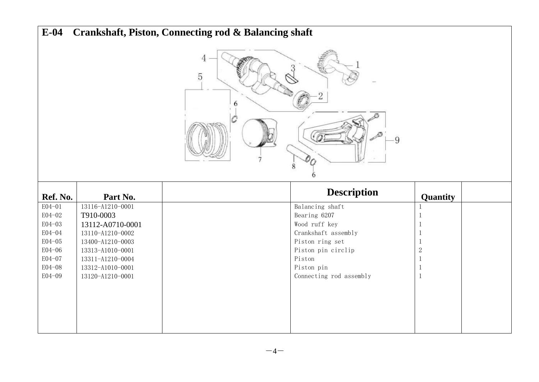| $E-04$           |                                      | Crankshaft, Piston, Connecting rod & Balancing shaft |                                        |            |  |  |
|------------------|--------------------------------------|------------------------------------------------------|----------------------------------------|------------|--|--|
|                  | 4<br>$\sqrt{5}$<br>9<br>8            |                                                      |                                        |            |  |  |
|                  |                                      |                                                      |                                        |            |  |  |
| Ref. No.         | Part No.                             |                                                      | <b>Description</b>                     | Quantity   |  |  |
| E04-01           | 13116-A1210-0001                     |                                                      | Balancing shaft                        | 1          |  |  |
| E04-02           | T910-0003                            |                                                      | Bearing 6207                           | -1         |  |  |
| E04-03<br>E04-04 | 13112-A0710-0001                     |                                                      | Wood ruff key                          |            |  |  |
| E04-05           | 13110-A1210-0002<br>13400-A1210-0003 |                                                      | Crankshaft assembly<br>Piston ring set |            |  |  |
| E04-06           | 13313-A1010-0001                     |                                                      | Piston pin circlip                     | $\sqrt{2}$ |  |  |
| E04-07           | 13311-A1210-0004                     |                                                      | Piston                                 | -1         |  |  |
| E04-08<br>E04-09 | 13312-A1010-0001<br>13120-A1210-0001 |                                                      | Piston pin<br>Connecting rod assembly  | -1<br>-1   |  |  |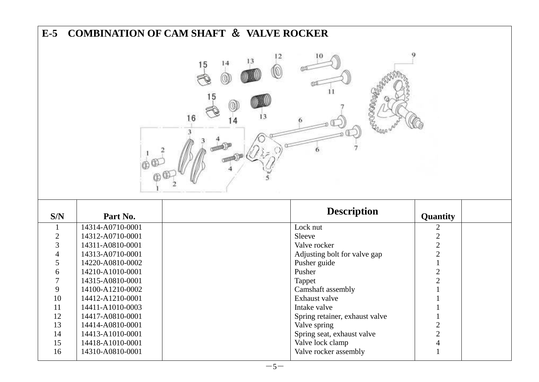| $E-5$          |                                      | <b>COMBINATION OF CAM SHAFT &amp; VALVE ROCKER</b> |                                           |                |  |  |
|----------------|--------------------------------------|----------------------------------------------------|-------------------------------------------|----------------|--|--|
|                | 9<br>14<br>15<br>5<br>13<br>16<br>4  |                                                    |                                           |                |  |  |
| S/N            | Part No.                             |                                                    | <b>Description</b>                        | Quantity       |  |  |
| $\mathbf{1}$   | 14314-A0710-0001                     | Lock nut                                           |                                           |                |  |  |
|                |                                      |                                                    |                                           | $\overline{c}$ |  |  |
| $\sqrt{2}$     | 14312-A0710-0001                     | Sleeve                                             |                                           | $\overline{c}$ |  |  |
| 3              | 14311-A0810-0001                     | Valve rocker                                       |                                           | $\overline{c}$ |  |  |
| 4              | 14313-A0710-0001                     |                                                    | Adjusting bolt for valve gap              | $\overline{c}$ |  |  |
| 5              | 14220-A0810-0002                     | Pusher guide                                       |                                           | $\mathbf{1}$   |  |  |
| 6              | 14210-A1010-0001                     | Pusher                                             |                                           | $\overline{2}$ |  |  |
| $\overline{7}$ | 14315-A0810-0001                     | Tappet                                             |                                           | $\overline{2}$ |  |  |
| 9              | 14100-A1210-0002                     |                                                    | Camshaft assembly                         |                |  |  |
| 10             | 14412-A1210-0001                     | Exhaust valve                                      |                                           |                |  |  |
| 11             | 14411-A1010-0003                     | Intake valve                                       |                                           |                |  |  |
| 12             | 14417-A0810-0001                     |                                                    | Spring retainer, exhaust valve            | 1              |  |  |
| 13             | 14414-A0810-0001                     | Valve spring                                       |                                           | $\overline{2}$ |  |  |
| 14             | 14413-A1010-0001                     |                                                    | Spring seat, exhaust valve                | $\overline{2}$ |  |  |
| 15<br>16       | 14418-A1010-0001<br>14310-A0810-0001 |                                                    | Valve lock clamp<br>Valve rocker assembly | $\overline{4}$ |  |  |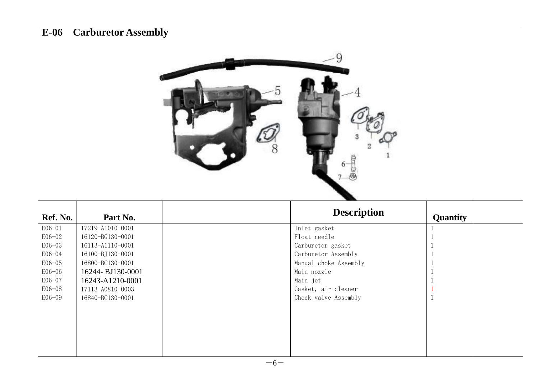|                  | <b>Carburetor Assembly</b>           |   |                                             |              |
|------------------|--------------------------------------|---|---------------------------------------------|--------------|
|                  |                                      | Ω |                                             |              |
|                  |                                      |   |                                             |              |
| Ref. No.         | Part No.                             |   | <b>Description</b>                          | Quantity     |
| E06-01           | 17219-A1010-0001                     |   | Inlet gasket                                | 1            |
| E06-02           | 16120-BG130-0001                     |   | Float needle                                | 1            |
| E06-03           | 16113-A1110-0001                     |   | Carburetor gasket                           | 1            |
| E06-04           | 16100-BJ130-0001                     |   | Carburetor Assembly                         | 1            |
| E06-05           | 16800-BC130-0001                     |   | Manual choke Assembly                       | 1            |
| E06-06           | 16244-BJ130-0001                     |   | Main nozzle                                 | $\mathbf{1}$ |
| E06-07           | 16243-A1210-0001                     |   | Main jet                                    | 1            |
| E06-08<br>E06-09 | 17113-A0810-0003<br>16840-BC130-0001 |   | Gasket, air cleaner<br>Check valve Assembly | -1<br>1      |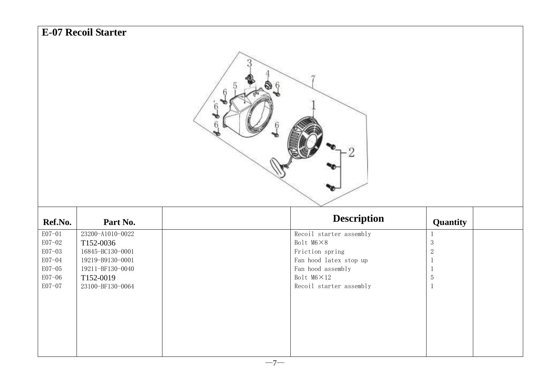|                  | <b>E-07 Recoil Starter</b>    |   |                                       |                          |  |
|------------------|-------------------------------|---|---------------------------------------|--------------------------|--|
|                  |                               | 6 |                                       |                          |  |
|                  |                               |   |                                       |                          |  |
|                  |                               |   |                                       |                          |  |
|                  |                               |   |                                       |                          |  |
| Ref.No.          | Part No.                      |   | <b>Description</b>                    | Quantity                 |  |
| E07-01           | 23200-A1010-0022              |   | Recoil starter assembly               | $\mathbf{1}$             |  |
| E07-02<br>E07-03 | T152-0036<br>16845-BC130-0001 |   | Bolt M6×8<br>Friction spring          | $\sqrt{3}$<br>$\sqrt{2}$ |  |
| E07-04           | 19219-B9130-0001              |   | Fan hood latex stop up                | $\overline{1}$           |  |
| $E07-05$         | 19211-BF130-0040              |   | Fan hood assembly                     | -1                       |  |
| E07-06<br>E07-07 | T152-0019<br>23100-BF130-0064 |   | Bolt M6×12<br>Recoil starter assembly | $\mathbf 5$<br>1         |  |
|                  |                               |   |                                       |                          |  |
|                  |                               |   |                                       |                          |  |
|                  |                               |   |                                       |                          |  |
|                  |                               |   |                                       |                          |  |
|                  |                               |   |                                       |                          |  |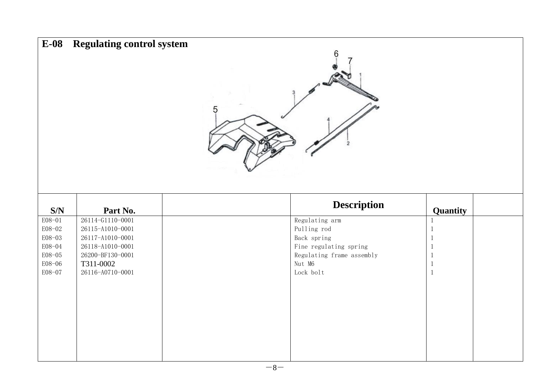| $E-08$                                                             | <b>Regulating control system</b>                                                                                                  | h                                                                                                                          |                                                                                            |
|--------------------------------------------------------------------|-----------------------------------------------------------------------------------------------------------------------------------|----------------------------------------------------------------------------------------------------------------------------|--------------------------------------------------------------------------------------------|
| S/N                                                                | Part No.                                                                                                                          | <b>Description</b>                                                                                                         | Quantity                                                                                   |
| E08-01<br>E08-02<br>E08-03<br>E08-04<br>E08-05<br>E08-06<br>E08-07 | 26114-G1110-0001<br>26115-A1010-0001<br>26117-A1010-0001<br>26118-A1010-0001<br>26200-BF130-0001<br>T311-0002<br>26116-A0710-0001 | Regulating arm<br>Pulling rod<br>Back spring<br>Fine regulating spring<br>Regulating frame assembly<br>Nut M6<br>Lock bolt | $\mathbf{1}$<br>$\mathbf{1}$<br>-1<br>$\overline{1}$<br>-1<br>$\mathbf{1}$<br>$\mathbf{1}$ |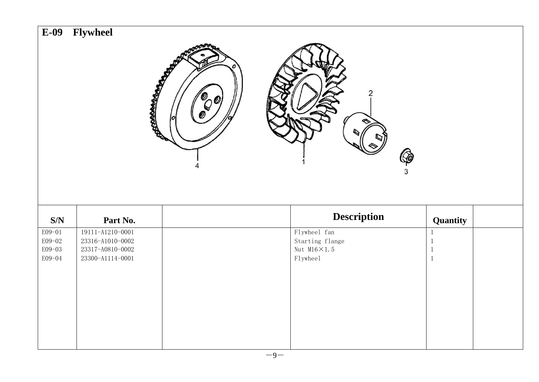| $E-09$         | Flywheel         |                  |                      |                     |  |
|----------------|------------------|------------------|----------------------|---------------------|--|
|                |                  | <b>POSTMANDS</b> | $\overline{2}$<br>P  |                     |  |
|                |                  |                  |                      |                     |  |
| $\mathbf{S/N}$ | Part No.         |                  | <b>Description</b>   |                     |  |
| E09-01         | 19111-A1210-0001 |                  | Flywheel fan         | Quantity<br>$\,1\,$ |  |
| E09-02         | 23316-A1010-0002 |                  | Starting flange      | $\mathbf{1}$        |  |
| E09-03         | 23317-A0810-0002 |                  | Nut $M16 \times 1.5$ | -1                  |  |
| E09-04         | 23300-A1114-0001 |                  | Flywheel             | 1                   |  |
|                |                  |                  |                      |                     |  |
|                |                  |                  |                      |                     |  |
|                |                  |                  |                      |                     |  |
|                |                  |                  |                      |                     |  |
|                |                  |                  |                      |                     |  |
|                |                  |                  |                      |                     |  |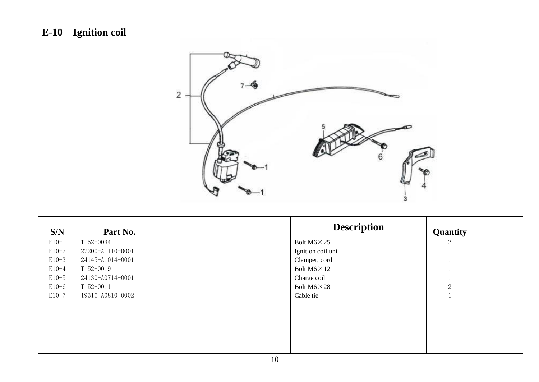| $E-10$             | Ignition coil                 |                |                                    |                       |
|--------------------|-------------------------------|----------------|------------------------------------|-----------------------|
|                    |                               | $\overline{c}$ | 6                                  |                       |
|                    |                               |                |                                    |                       |
| $\mathbf{S/N}$     | Part No.                      |                | <b>Description</b>                 |                       |
| $E10-1$            | T152-0034                     |                | Bolt $M6 \times 25$                | Quantity<br>$\,2$     |
| $E10-2$            | 27200-A1110-0001              |                | Ignition coil uni                  | 1                     |
| $E10-3$            | 24145-A1014-0001              |                | Clamper, cord                      | 1                     |
| $E10-4$            | T152-0019                     |                | Bolt $M6 \times 12$                | $\mathbf{1}$          |
| $E10-5$<br>$E10-6$ | 24130-A0714-0001<br>T152-0011 |                | Charge coil<br>Bolt $M6 \times 28$ | $\mathbf{1}$<br>$\,2$ |
| $E10-7$            | 19316-A0810-0002              |                | Cable tie                          | $1\,$                 |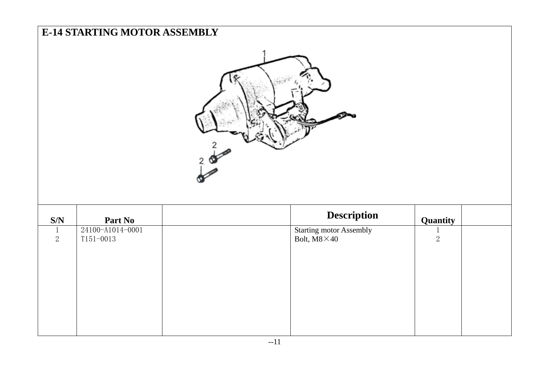|                                | <b>E-14 STARTING MOTOR ASSEMBLY</b> |  |                                                      |                                |  |  |
|--------------------------------|-------------------------------------|--|------------------------------------------------------|--------------------------------|--|--|
|                                |                                     |  |                                                      |                                |  |  |
| $\mathbf{S/N}$                 | Part No                             |  | <b>Description</b>                                   | Quantity                       |  |  |
| $\mathbf{1}$<br>$\overline{2}$ | 24100-A1014-0001<br>$T151 - 0013$   |  | <b>Starting motor Assembly</b><br>Bolt, $M8\times40$ | $\mathbf{1}$<br>$\overline{2}$ |  |  |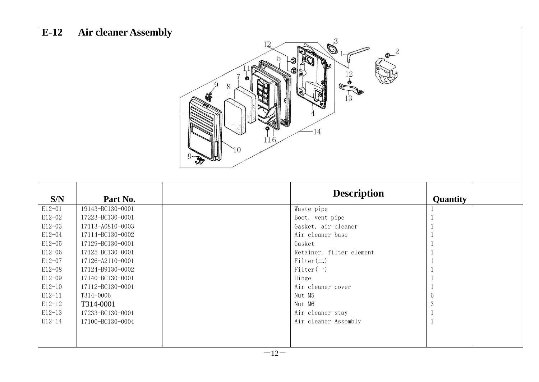| $E-12$     | <b>Air cleaner Assembly</b> |                                             |                                |  |
|------------|-----------------------------|---------------------------------------------|--------------------------------|--|
|            |                             | $\mathbf{Q}^{3}$<br>6<br>$-14$<br>116<br>10 | 1 <sup>2</sup>                 |  |
| S/N        | Part No.                    |                                             | <b>Description</b><br>Quantity |  |
| $E12 - 01$ | 19143-BC130-0001            | Waste pipe                                  | 1                              |  |
| $E12 - 02$ | 17223-BC130-0001            | Boot, vent pipe                             | 1                              |  |
| $E12-03$   | 17113-A0810-0003            | Gasket, air cleaner                         | 1                              |  |
| E12-04     | 17114-BC130-0002            | Air cleaner base                            | 1                              |  |
| $E12 - 05$ | 17129-BC130-0001            | Gasket                                      | 1                              |  |
| $E12 - 06$ | 17125-BC130-0001            |                                             | Retainer, filter element<br>1  |  |
| $E12 - 07$ | 17126-A2110-0001            | $Filter(\square)$                           | 1                              |  |
| $E12 - 08$ | 17124-B9130-0002            | $Filter(-)$                                 | 1                              |  |
| E12-09     | 17140-BC130-0001            | Hinge                                       | 1                              |  |
| $E12-10$   | 17112-BC130-0001            | Air cleaner cover                           | 1                              |  |
| $E12 - 11$ | T314-0006                   | Nut M5                                      | $\,6$                          |  |
| $E12-12$   | T314-0001                   | Nut M6                                      | $\mathbf{3}$                   |  |
| $E12-13$   | 17233-BC130-0001            | Air cleaner stay                            | $\mathbf{1}$                   |  |
| $E12 - 14$ | 17100-BC130-0004            | Air cleaner Assembly                        | 1                              |  |
|            |                             |                                             |                                |  |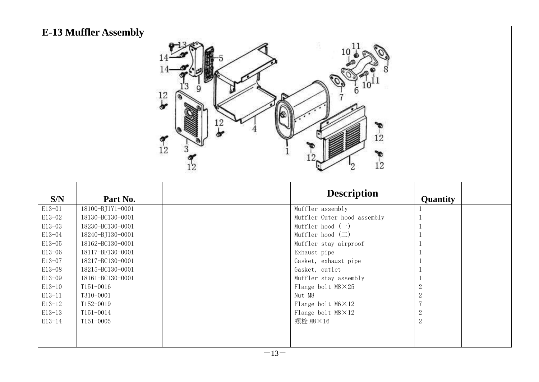|            | <b>E-13 Muffler Assembly</b> |                                        |                                  |                |
|------------|------------------------------|----------------------------------------|----------------------------------|----------------|
|            |                              | $\frac{12}{5}$<br>12<br>$\frac{9}{12}$ | 12<br>12                         |                |
|            |                              |                                        | <b>Description</b>               |                |
| S/N        | Part No.                     |                                        |                                  | Quantity       |
| E13-01     | 18100-BJ1Y1-0001             |                                        | Muffler assembly                 | -1             |
| E13-02     | 18130-BC130-0001             |                                        | Muffler Outer hood assembly      | -1             |
| E13-03     | 18230-BC130-0001             |                                        | Muffler hood $(\rightarrow)$     |                |
| E13-04     | 18240-BJ130-0001             |                                        | Muffler hood $(\rightharpoonup)$ | 1              |
| E13-05     | 18162-BC130-0001             |                                        | Muffler stay airproof            |                |
| E13-06     | 18117-BF130-0001             |                                        | Exhaust pipe                     | -1             |
| E13-07     | 18217-BC130-0001             |                                        | Gasket, exhaust pipe             | -1             |
| E13-08     | 18215-BC130-0001             |                                        | Gasket, outlet                   | -1             |
| E13-09     | 18161-BC130-0001             |                                        | Muffler stay assembly            | -1             |
| $E13-10$   | T151-0016                    |                                        | Flange bolt M8×25                | $\sqrt{2}$     |
| $E13-11$   | T310-0001                    |                                        | Nut M8                           | $\sqrt{2}$     |
| $E13-12$   | T152-0019                    |                                        | Flange bolt $M6 \times 12$       | $\overline{7}$ |
| E13-13     | T151-0014                    |                                        | Flange bolt M8×12                | $\sqrt{2}$     |
| $E13 - 14$ | T151-0005                    |                                        | 螺栓 M8×16                         | $\sqrt{2}$     |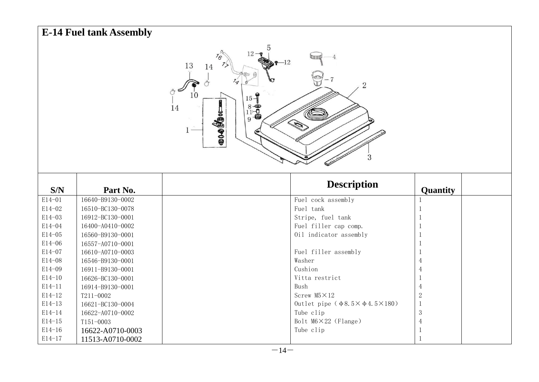| <b>E-14 Fuel tank Assembly</b>                                                                                                                                                              |                  |  |                                           |                  |  |  |
|---------------------------------------------------------------------------------------------------------------------------------------------------------------------------------------------|------------------|--|-------------------------------------------|------------------|--|--|
| $12 - 9$<br>76<br>$-12$<br>13<br>14<br>$\overline{2}$<br>10<br>$15 - 7$<br>$\begin{smallmatrix} 8 & \bullet \\ 11 & \bullet \\ 9 & \bullet \end{smallmatrix}$<br>14<br>$\bullet$ 04000<br>3 |                  |  |                                           |                  |  |  |
| S/N                                                                                                                                                                                         | Part No.         |  | <b>Description</b>                        | Quantity         |  |  |
| E14-01                                                                                                                                                                                      | 16640-B9130-0002 |  | Fuel cock assembly                        |                  |  |  |
| E14-02                                                                                                                                                                                      | 16510-BC130-0078 |  | Fuel tank                                 |                  |  |  |
| E14-03                                                                                                                                                                                      | 16912-BC130-0001 |  | Stripe, fuel tank                         |                  |  |  |
| E14-04                                                                                                                                                                                      | 16400-A0410-0002 |  | Fuel filler cap comp.                     |                  |  |  |
| E14-05                                                                                                                                                                                      | 16560-B9130-0001 |  | Oil indicator assembly                    |                  |  |  |
| E14-06                                                                                                                                                                                      | 16557-A0710-0001 |  |                                           |                  |  |  |
| E14-07                                                                                                                                                                                      | 16610-A0710-0003 |  | Fuel filler assembly                      |                  |  |  |
| E14-08                                                                                                                                                                                      | 16546-B9130-0001 |  | Washer                                    |                  |  |  |
| E14-09                                                                                                                                                                                      | 16911-B9130-0001 |  | Cushion                                   |                  |  |  |
| $E14-10$                                                                                                                                                                                    | 16626-BC130-0001 |  | Vitta restrict                            |                  |  |  |
| $E14 - 11$                                                                                                                                                                                  | 16914-B9130-0001 |  | Bush                                      | $\overline{4}$   |  |  |
| $E14 - 12$                                                                                                                                                                                  | T211-0002        |  | Screw M5×12                               | $\boldsymbol{2}$ |  |  |
| $E14-13$                                                                                                                                                                                    | 16621-BC130-0004 |  | Outlet pipe ( $\phi$ 8.5× $\phi$ 4.5×180) | $\mathbf{1}$     |  |  |
| $E14 - 14$                                                                                                                                                                                  | 16622-A0710-0002 |  | Tube clip                                 | 3                |  |  |
| $E14 - 15$                                                                                                                                                                                  | T151-0003        |  | Bolt $M6 \times 22$ (Flange)              | $\overline{4}$   |  |  |
| $E14 - 16$                                                                                                                                                                                  | 16622-A0710-0003 |  | Tube clip                                 |                  |  |  |
| $E14 - 17$                                                                                                                                                                                  | 11513-A0710-0002 |  |                                           |                  |  |  |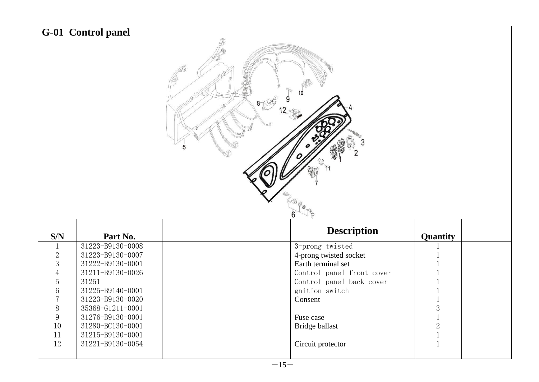|                     | G-01 Control panel<br>$8 \heartsuit$<br>11 |  |                                                 |                              |  |  |
|---------------------|--------------------------------------------|--|-------------------------------------------------|------------------------------|--|--|
| S/N                 | Part No.                                   |  | <b>Description</b>                              | Quantity                     |  |  |
| $\mathbf{1}$        | 31223-B9130-0008                           |  | 3-prong twisted                                 | $\mathbf{1}$                 |  |  |
| $\sqrt{2}$          | 31223-B9130-0007                           |  | 4-prong twisted socket                          |                              |  |  |
| 3<br>$\overline{4}$ | 31222-B9130-0001<br>31211-B9130-0026       |  | Earth terminal set<br>Control panel front cover |                              |  |  |
| $\overline{5}$      | 31251                                      |  | Control panel back cover                        |                              |  |  |
| $\overline{6}$      | 31225-B9140-0001                           |  | gnition switch                                  | $\mathbf{1}$                 |  |  |
| $\overline{7}$      | 31223-B9130-0020                           |  | Consent                                         | $\mathbf{1}$                 |  |  |
| $8\,$               | 35368-G1211-0001                           |  |                                                 | 3                            |  |  |
| $\overline{9}$      | 31276-B9130-0001                           |  | Fuse case                                       | $\mathbf{1}$                 |  |  |
| 10                  | 31280-BC130-0001                           |  | Bridge ballast                                  | $\overline{2}$               |  |  |
| 11<br>12            | 31215-B9130-0001<br>31221-B9130-0054       |  | Circuit protector                               | $\mathbf{1}$<br>$\mathbf{1}$ |  |  |
|                     |                                            |  |                                                 |                              |  |  |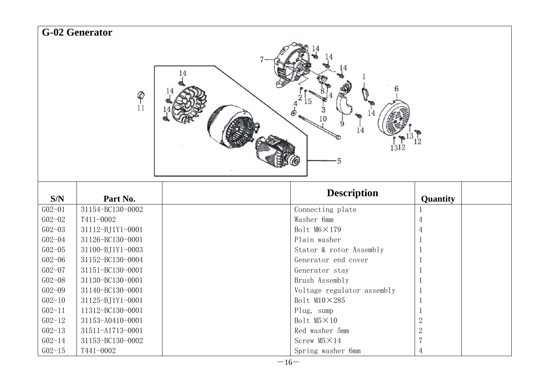| <b>G-02 Generator</b>     |                  |                            |                |  |  |
|---------------------------|------------------|----------------------------|----------------|--|--|
| 14<br>$P_{11}$<br>10<br>5 |                  |                            |                |  |  |
| S/N                       | Part No.         | <b>Description</b>         | Quantity       |  |  |
| $G02 - 01$                | 31154-BC130-0002 | Connecting plate           | $\mathbf{1}$   |  |  |
| $G02 - 02$                | T411-0002        | Washer 6mm                 | $\overline{4}$ |  |  |
| $G02 - 03$                | 31112-BJ1Y1-0001 | Bolt M6×179                | 4              |  |  |
| $G02 - 04$                | 31126-BC130-0001 | Plain washer               | 1              |  |  |
| $G02 - 05$                | 31100-BJ1Y1-0003 | Stator & rotor Assembly    | $\mathbf 1$    |  |  |
| $G02 - 06$                | 31152-BC130-0004 | Generator end cover        | $\mathbf 1$    |  |  |
| $GO2 - O7$                | 31151-BC130-0001 | Generator stay             | 1              |  |  |
| $G02 - 08$                | 31130-BC130-0001 | Brush Assembly             | $\mathbf{1}$   |  |  |
| $G02 - 09$                | 31140-BC130-0001 | Voltage regulator assembly | $\,1$          |  |  |
| $G02 - 10$                | 31125-BJ1Y1-0001 | Bolt M10×285               | $\,1\,$        |  |  |
| $G02 - 11$                | 11312-BC130-0001 | Plug, sump                 | $\mathbf 1$    |  |  |
| $GO2 - 12$                | 31153-A0410-0001 | Bolt M5×10                 | $\overline{2}$ |  |  |
| $GO2 - 13$                | 31511-A1713-0001 | Red washer 5mm             | $\sqrt{2}$     |  |  |
| $GO2 - 14$                | 31153-BC130-0002 | Screw M5×14                | $\overline{7}$ |  |  |
| $G02 - 15$                | T441-0002        | Spring washer 6mm          | 4              |  |  |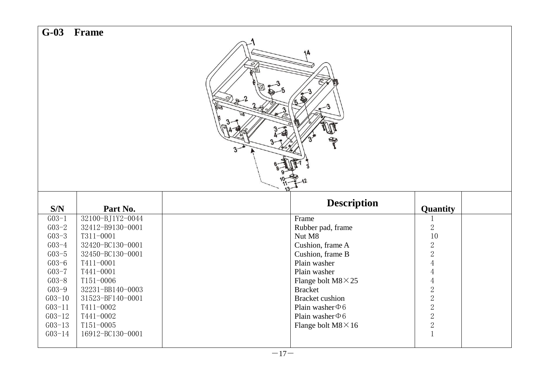| $G-03$<br><b>Frame</b><br>$\theta$<br>Lσ |                               |  |                                              |                                            |  |  |
|------------------------------------------|-------------------------------|--|----------------------------------------------|--------------------------------------------|--|--|
| S/N                                      | Part No.                      |  | <b>Description</b>                           | Quantity                                   |  |  |
| $G_{03-1}$                               | 32100-BJ1Y2-0044              |  | Frame                                        |                                            |  |  |
| $G03 - 2$                                | 32412-B9130-0001              |  | Rubber pad, frame                            | $\sqrt{2}$                                 |  |  |
| $G_{03-3}$                               | T311-0001                     |  | Nut M8                                       | 10                                         |  |  |
| $G_{03-4}$                               | 32420-BC130-0001              |  | Cushion, frame A                             | $\sqrt{2}$                                 |  |  |
| $G_{03-5}$                               | 32450-BC130-0001              |  | Cushion, frame B                             | $\overline{2}$                             |  |  |
| $G03-6$                                  | T411-0001                     |  | Plain washer                                 | $\,4$                                      |  |  |
| $G_{03-7}$                               | T441-0001                     |  | Plain washer                                 | $\overline{4}$                             |  |  |
| $G03 - 8$<br>$G03 - 9$                   | T151-0006<br>32231-BB140-0003 |  | Flange bolt $M8 \times 25$<br><b>Bracket</b> | $\overline{4}$                             |  |  |
| $G03-10$                                 | 31523-BF140-0001              |  | <b>Bracket</b> cushion                       |                                            |  |  |
| $G03 - 11$                               | T411-0002                     |  | Plain washer $\Phi$ 6                        | $\begin{array}{c} 2 \\ 2 \\ 2 \end{array}$ |  |  |
| $G03-12$                                 | T441-0002                     |  | Plain washer $\Phi$ 6                        |                                            |  |  |
| $G03-13$                                 | T151-0005                     |  | Flange bolt $M8 \times 16$                   | $\sqrt{2}$                                 |  |  |
| $G03 - 14$                               | 16912-BC130-0001              |  |                                              | $\mathbf{1}$                               |  |  |
|                                          |                               |  |                                              |                                            |  |  |